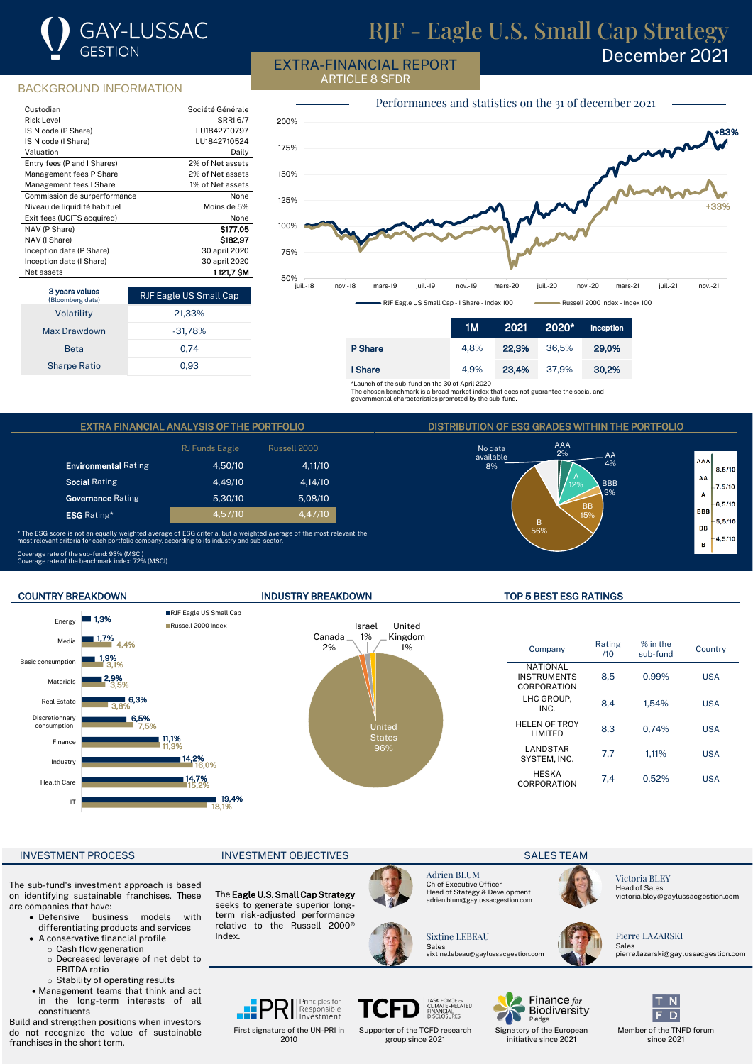# **GAY-LUSSAC GESTION**

# RJF - Eagle U.S. Small Cap Strategy

EXTRA-FINANCIAL REPORT ARTICLE 8 SFDR

December 2021

### BACKGROUND INFORMATION

| Custodian                    | Société Générale |
|------------------------------|------------------|
| <b>Risk Level</b>            | <b>SRRI 6/7</b>  |
| ISIN code (P Share)          | LU1842710797     |
| ISIN code (I Share)          | LU1842710524     |
| Valuation                    | Daily            |
| Entry fees (P and I Shares)  | 2% of Net assets |
| Management fees P Share      | 2% of Net assets |
| Management fees I Share      | 1% of Net assets |
| Commission de surperformance | None             |
| Niveau de liquidité habituel | Moins de 5%      |
| Exit fees (UCITS acquired)   | None             |
| NAV (P Share)                | \$177.05         |
| NAV (I Share)                | \$182.97         |
| Inception date (P Share)     | 30 april 2020    |
| Inception date (I Share)     | 30 april 2020    |
| Net assets                   | 1121.7 SM        |

| 3 years values<br>(Bloomberg data) | <b>RJF Eagle US Small Cap</b> |
|------------------------------------|-------------------------------|
| Volatility                         | 21,33%                        |
| Max Drawdown                       | $-31,78%$                     |
| <b>Beta</b>                        | 0.74                          |
| <b>Sharpe Ratio</b>                | 0.93                          |



|         | 1М   |       | 2021 2020* | Inception |
|---------|------|-------|------------|-----------|
| P Share | 4.8% | 22.3% | 36.5%      | 29.0%     |
| I Share | 4.9% | 23,4% | 37.9%      | 30,2%     |

No data available 8%

\*Launch of the sub-fund on the 30 of April 2020 The chosen benchmark is a broad market index that does not guarantee the social and

governmental characteristics promoted by the sub-fund.

### EXTRA FINANCIAL ANALYSIS OF THE PORTFOLIO DISTRIBUTION OF ESG GRADES WITHIN THE PORTFOLIO

|                             | <b>RJ Funds Eagle</b> | Russell 2000 |
|-----------------------------|-----------------------|--------------|
| <b>Environmental Rating</b> | 4.50/10               | 4.11/10      |
| <b>Social Rating</b>        | 4.49/10               | 4.14/10      |
| <b>Governance Rating</b>    | 5.30/10               | 5.08/10      |
| <b>ESG</b> Rating*          | 4.57/10               | 4.47/10      |

\* The ESG score is not an equally weighted average of ESG criteria, but a weighted average of the most relevant the most relevant criteria for each portfolio company, according to its industry and sub-sector.

RJF Eagle US Small Cap Russell 2000 Index



### Coverage rate of the sub-fund: 93% (MSCI) Coverage rate of the benchmark index: 72% (MSCI)

Media **1,7% 1.3%** 

Energy



### COUNTRY BREAKDOWN INDUSTRY BREAKDOWN TOP 5 BEST ESG RATINGS

B 56%

AAA

 $AA$  $A\%$ BBB 3%

A A

 $\Delta \Delta$ 

 $\Delta$ 

8.5/10

 $7.5/10$ 

 $6.5/10$ **BBI** 

 $5, 5/10$ **RR** 

 $4,5/10$  $\overline{a}$ 

BB 15%

| Company                                       | Rating<br>/10 | $%$ in the<br>sub-fund | Country    |
|-----------------------------------------------|---------------|------------------------|------------|
| NATIONAL<br><b>INSTRUMENTS</b><br>CORPORATION | 8.5           | 0.99%                  | <b>USA</b> |
| LHC GROUP.<br>INC.                            | 8.4           | 1.54%                  | <b>USA</b> |
| <b>HELEN OF TROY</b><br><b>I IMITED</b>       | 8.3           | 0.74%                  | <b>USA</b> |
| LANDSTAR<br>SYSTEM. INC.                      | 7,7           | 1.11%                  | <b>USA</b> |
| <b>HESKA</b><br>CORPORATION                   | 7.4           | 0.52%                  | USA        |

### INVESTMENT PROCESS INVESTMENT OBJECTIVES IN A SALES TEAM

IT

Health Care Industry Finance

Discretionnary consumption Real Estate Materials Basic consumption

The sub-fund's investment approach is based on identifying sustainable franchises. These are companies that have: • Defensive business models with

- differentiating products and services
	- A conservative financial profile o Cash flow generation
		- o Decreased leverage of net debt to EBITDA ratio
		- o Stability of operating results
	- Management teams that think and act in the long-term interests of all constituents

Build and strengthen positions when investors do not recognize the value of sustainable franchises in the short term.

18,1%

■ 19.4%

15,2% 16,0%

14,7% 14,2%

11,1%<br>11,3%

7,5%

6,5% 6,3%

3,8% 3,5% 3,1% 4,4%

2,9% 1,9%

> The Eagle U.S. Small Cap Strategy seeks to generate superior longterm risk-adjusted performance relative to the Russell 2000® Index.

> > First signature of the UN-PRI in 2010

Principles for

Responsible



Supporter of the TCFD research group since 2021



TASK FORCE on<br>CLIMATE-RELATED<br>FINANCIAL<br>DISCLOSURES

Adrien BLUM Chief Executive Officer –

Sales sixtine.lebeau@gaylussacgestion.com



Signatory of the European initiative since 2021

Victoria BLEY Head of Sales victoria.bley@gaylussacgestion.com

Pierre LAZARSKI Sales pierre.lazarski@gaylussacgestion.com